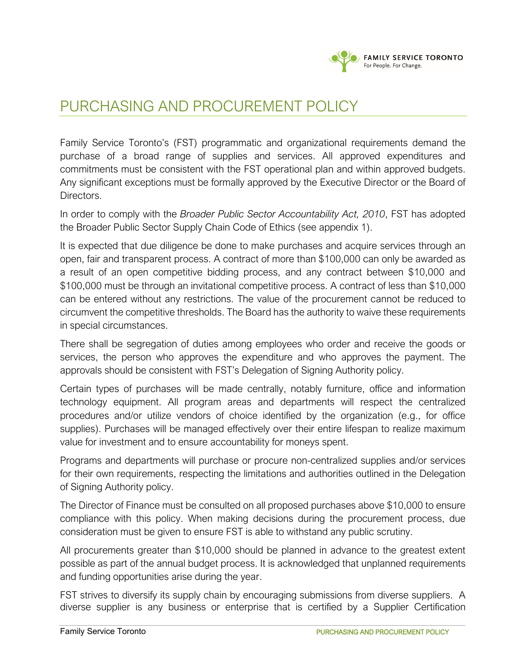

## PURCHASING AND PROCUREMENT POLICY

Family Service Toronto's (FST) programmatic and organizational requirements demand the purchase of a broad range of supplies and services. All approved expenditures and commitments must be consistent with the FST operational plan and within approved budgets. Any significant exceptions must be formally approved by the Executive Director or the Board of Directors.

In order to comply with the *Broader Public Sector Accountability Act, 2010*, FST has adopted the Broader Public Sector Supply Chain Code of Ethics (see appendix 1).

It is expected that due diligence be done to make purchases and acquire services through an open, fair and transparent process. A contract of more than \$100,000 can only be awarded as a result of an open competitive bidding process, and any contract between \$10,000 and \$100,000 must be through an invitational competitive process. A contract of less than \$10,000 can be entered without any restrictions. The value of the procurement cannot be reduced to circumvent the competitive thresholds. The Board has the authority to waive these requirements in special circumstances.

There shall be segregation of duties among employees who order and receive the goods or services, the person who approves the expenditure and who approves the payment. The approvals should be consistent with FST's Delegation of Signing Authority policy.

Certain types of purchases will be made centrally, notably furniture, office and information technology equipment. All program areas and departments will respect the centralized procedures and/or utilize vendors of choice identified by the organization (e.g., for office supplies). Purchases will be managed effectively over their entire lifespan to realize maximum value for investment and to ensure accountability for moneys spent.

Programs and departments will purchase or procure non-centralized supplies and/or services for their own requirements, respecting the limitations and authorities outlined in the Delegation of Signing Authority policy.

The Director of Finance must be consulted on all proposed purchases above \$10,000 to ensure compliance with this policy. When making decisions during the procurement process, due consideration must be given to ensure FST is able to withstand any public scrutiny.

All procurements greater than \$10,000 should be planned in advance to the greatest extent possible as part of the annual budget process. It is acknowledged that unplanned requirements and funding opportunities arise during the year.

FST strives to diversify its supply chain by encouraging submissions from diverse suppliers. A diverse supplier is any business or enterprise that is certified by a Supplier Certification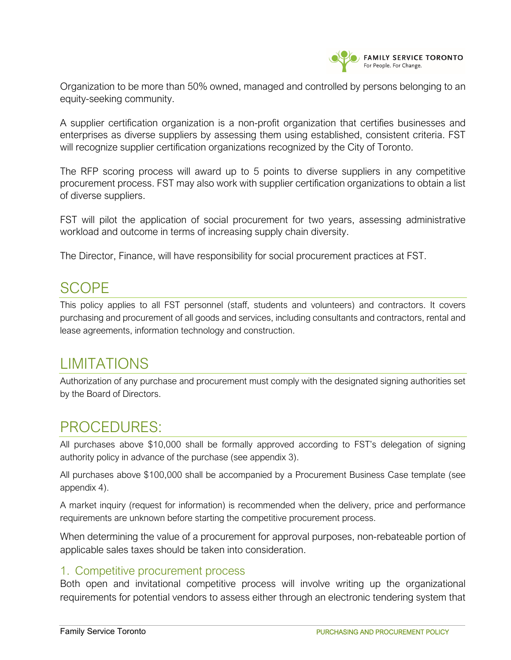

Organization to be more than 50% owned, managed and controlled by persons belonging to an equity-seeking community.

A supplier certification organization is a non-profit organization that certifies businesses and enterprises as diverse suppliers by assessing them using established, consistent criteria. FST will recognize supplier certification organizations recognized by the City of Toronto.

The RFP scoring process will award up to 5 points to diverse suppliers in any competitive procurement process. FST may also work with supplier certification organizations to obtain a list of diverse suppliers.

FST will pilot the application of social procurement for two years, assessing administrative workload and outcome in terms of increasing supply chain diversity.

The Director, Finance, will have responsibility for social procurement practices at FST.

## SCOPE

This policy applies to all FST personnel (staff, students and volunteers) and contractors. It covers purchasing and procurement of all goods and services, including consultants and contractors, rental and lease agreements, information technology and construction.

## LIMITATIONS

Authorization of any purchase and procurement must comply with the designated signing authorities set by the Board of Directors.

## PROCEDURES:

All purchases above \$10,000 shall be formally approved according to FST's delegation of signing authority policy in advance of the purchase (see appendix 3).

All purchases above \$100,000 shall be accompanied by a Procurement Business Case template (see appendix 4).

A market inquiry (request for information) is recommended when the delivery, price and performance requirements are unknown before starting the competitive procurement process.

When determining the value of a procurement for approval purposes, non-rebateable portion of applicable sales taxes should be taken into consideration.

## 1. Competitive procurement process

Both open and invitational competitive process will involve writing up the organizational requirements for potential vendors to assess either through an electronic tendering system that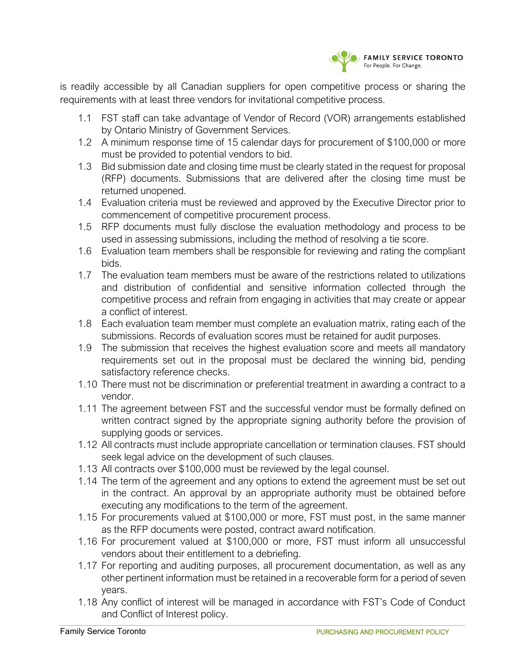

is readily accessible by all Canadian suppliers for open competitive process or sharing the requirements with at least three vendors for invitational competitive process.

- 1.1 FST staff can take advantage of Vendor of Record (VOR) arrangements established by Ontario Ministry of Government Services.
- 1.2 A minimum response time of 15 calendar days for procurement of \$100,000 or more must be provided to potential vendors to bid.
- 1.3 Bid submission date and closing time must be clearly stated in the request for proposal (RFP) documents. Submissions that are delivered after the closing time must be returned unopened.
- 1.4 Evaluation criteria must be reviewed and approved by the Executive Director prior to commencement of competitive procurement process.
- 1.5 RFP documents must fully disclose the evaluation methodology and process to be used in assessing submissions, including the method of resolving a tie score.
- 1.6 Evaluation team members shall be responsible for reviewing and rating the compliant bids.
- 1.7 The evaluation team members must be aware of the restrictions related to utilizations and distribution of confidential and sensitive information collected through the competitive process and refrain from engaging in activities that may create or appear a conflict of interest.
- 1.8 Each evaluation team member must complete an evaluation matrix, rating each of the submissions. Records of evaluation scores must be retained for audit purposes.
- 1.9 The submission that receives the highest evaluation score and meets all mandatory requirements set out in the proposal must be declared the winning bid, pending satisfactory reference checks.
- 1.10 There must not be discrimination or preferential treatment in awarding a contract to a vendor.
- 1.11 The agreement between FST and the successful vendor must be formally defined on written contract signed by the appropriate signing authority before the provision of supplying goods or services.
- 1.12 All contracts must include appropriate cancellation or termination clauses. FST should seek legal advice on the development of such clauses.
- 1.13 All contracts over \$100,000 must be reviewed by the legal counsel.
- 1.14 The term of the agreement and any options to extend the agreement must be set out in the contract. An approval by an appropriate authority must be obtained before executing any modifications to the term of the agreement.
- 1.15 For procurements valued at \$100,000 or more, FST must post, in the same manner as the RFP documents were posted, contract award notification.
- 1.16 For procurement valued at \$100,000 or more, FST must inform all unsuccessful vendors about their entitlement to a debriefing.
- 1.17 For reporting and auditing purposes, all procurement documentation, as well as any other pertinent information must be retained in a recoverable form for a period of seven years.
- 1.18 Any conflict of interest will be managed in accordance with FST's Code of Conduct and Conflict of Interest policy.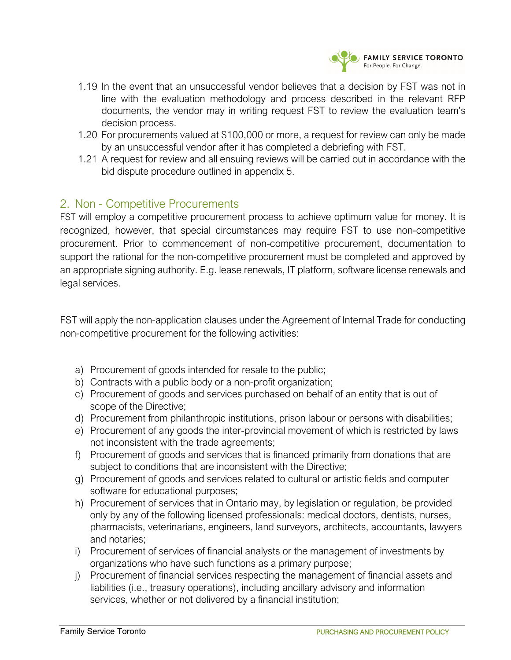

- 1.19 In the event that an unsuccessful vendor believes that a decision by FST was not in line with the evaluation methodology and process described in the relevant RFP documents, the vendor may in writing request FST to review the evaluation team's decision process.
- 1.20 For procurements valued at \$100,000 or more, a request for review can only be made by an unsuccessful vendor after it has completed a debriefing with FST.
- 1.21 A request for review and all ensuing reviews will be carried out in accordance with the bid dispute procedure outlined in appendix 5.

## 2. Non - Competitive Procurements

FST will employ a competitive procurement process to achieve optimum value for money. It is recognized, however, that special circumstances may require FST to use non-competitive procurement. Prior to commencement of non-competitive procurement, documentation to support the rational for the non-competitive procurement must be completed and approved by an appropriate signing authority. E.g. lease renewals, IT platform, software license renewals and legal services.

FST will apply the non-application clauses under the Agreement of Internal Trade for conducting non-competitive procurement for the following activities:

- a) Procurement of goods intended for resale to the public;
- b) Contracts with a public body or a non-profit organization;
- c) Procurement of goods and services purchased on behalf of an entity that is out of scope of the Directive;
- d) Procurement from philanthropic institutions, prison labour or persons with disabilities;
- e) Procurement of any goods the inter-provincial movement of which is restricted by laws not inconsistent with the trade agreements;
- f) Procurement of goods and services that is financed primarily from donations that are subject to conditions that are inconsistent with the Directive;
- g) Procurement of goods and services related to cultural or artistic fields and computer software for educational purposes;
- h) Procurement of services that in Ontario may, by legislation or regulation, be provided only by any of the following licensed professionals: medical doctors, dentists, nurses, pharmacists, veterinarians, engineers, land surveyors, architects, accountants, lawyers and notaries;
- i) Procurement of services of financial analysts or the management of investments by organizations who have such functions as a primary purpose;
- j) Procurement of financial services respecting the management of financial assets and liabilities (i.e., treasury operations), including ancillary advisory and information services, whether or not delivered by a financial institution;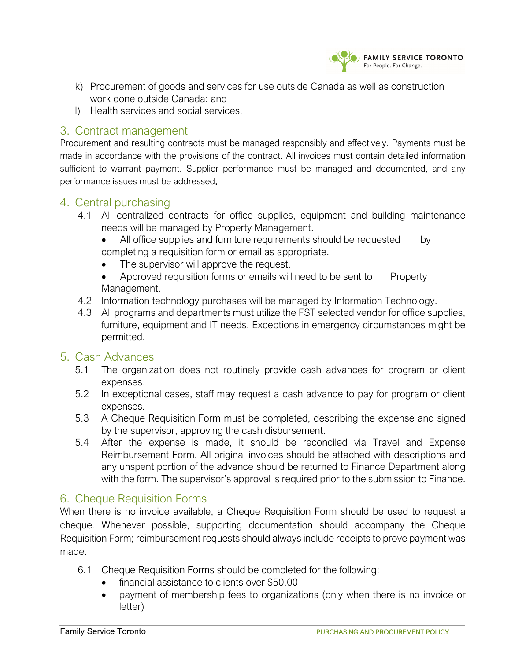

- k) Procurement of goods and services for use outside Canada as well as construction work done outside Canada; and
- l) Health services and social services.

## 3. Contract management

Procurement and resulting contracts must be managed responsibly and effectively. Payments must be made in accordance with the provisions of the contract. All invoices must contain detailed information sufficient to warrant payment. Supplier performance must be managed and documented, and any performance issues must be addressed.

### 4. Central purchasing

- 4.1 All centralized contracts for office supplies, equipment and building maintenance needs will be managed by Property Management.
	- All office supplies and furniture requirements should be requested by completing a requisition form or email as appropriate.
	- The supervisor will approve the request.
	- Approved requisition forms or emails will need to be sent to Property Management.
- 4.2 Information technology purchases will be managed by Information Technology.
- 4.3 All programs and departments must utilize the FST selected vendor for office supplies, furniture, equipment and IT needs. Exceptions in emergency circumstances might be permitted.

## 5. Cash Advances

- 5.1 The organization does not routinely provide cash advances for program or client expenses.
- 5.2 In exceptional cases, staff may request a cash advance to pay for program or client expenses.
- 5.3 A Cheque Requisition Form must be completed, describing the expense and signed by the supervisor, approving the cash disbursement.
- 5.4 After the expense is made, it should be reconciled via Travel and Expense Reimbursement Form. All original invoices should be attached with descriptions and any unspent portion of the advance should be returned to Finance Department along with the form. The supervisor's approval is required prior to the submission to Finance.

## 6. Cheque Requisition Forms

When there is no invoice available, a Cheque Requisition Form should be used to request a cheque. Whenever possible, supporting documentation should accompany the Cheque Requisition Form; reimbursement requests should always include receipts to prove payment was made.

- 6.1 Cheque Requisition Forms should be completed for the following:
	- financial assistance to clients over \$50.00
	- payment of membership fees to organizations (only when there is no invoice or letter)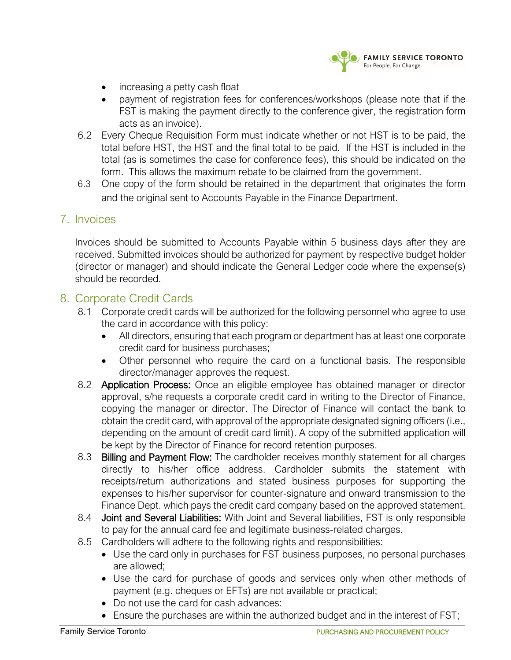

- increasing a petty cash float
- payment of registration fees for conferences/workshops (please note that if the FST is making the payment directly to the conference giver, the registration form acts as an invoice).
- 6.2 Every Cheque Requisition Form must indicate whether or not HST is to be paid, the total before HST, the HST and the final total to be paid. If the HST is included in the total (as is sometimes the case for conference fees), this should be indicated on the form. This allows the maximum rebate to be claimed from the government.
- 6.3 One copy of the form should be retained in the department that originates the form and the original sent to Accounts Payable in the Finance Department.

### 7. Invoices

Invoices should be submitted to Accounts Payable within 5 business days after they are received. Submitted invoices should be authorized for payment by respective budget holder (director or manager) and should indicate the General Ledger code where the expense(s) should be recorded.

### 8. Corporate Credit Cards

- 8.1 Corporate credit cards will be authorized for the following personnel who agree to use the card in accordance with this policy:
	- All directors, ensuring that each program or department has at least one corporate credit card for business purchases;
	- Other personnel who require the card on a functional basis. The responsible director/manager approves the request.
- 8.2 **Application Process:** Once an eligible employee has obtained manager or director approval, s/he requests a corporate credit card in writing to the Director of Finance, copying the manager or director. The Director of Finance will contact the bank to obtain the credit card, with approval of the appropriate designated signing officers (i.e., depending on the amount of credit card limit). A copy of the submitted application will be kept by the Director of Finance for record retention purposes.
- 8.3 Billing and Payment Flow: The cardholder receives monthly statement for all charges directly to his/her office address. Cardholder submits the statement with receipts/return authorizations and stated business purposes for supporting the expenses to his/her supervisor for counter-signature and onward transmission to the Finance Dept. which pays the credit card company based on the approved statement.
- 8.4 **Joint and Several Liabilities:** With Joint and Several liabilities, FST is only responsible to pay for the annual card fee and legitimate business-related charges.
- 8.5 Cardholders will adhere to the following rights and responsibilities:
	- Use the card only in purchases for FST business purposes, no personal purchases are allowed;
	- Use the card for purchase of goods and services only when other methods of payment (e.g. cheques or EFTs) are not available or practical;
	- Do not use the card for cash advances:
	- Ensure the purchases are within the authorized budget and in the interest of FST;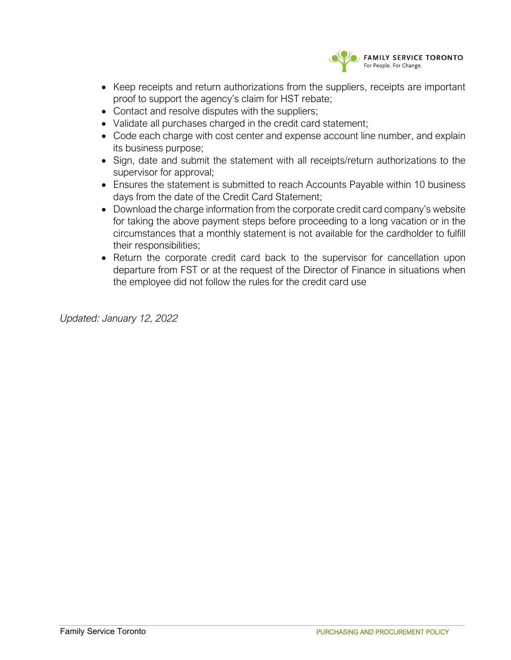

- Keep receipts and return authorizations from the suppliers, receipts are important proof to support the agency's claim for HST rebate;
- Contact and resolve disputes with the suppliers;
- Validate all purchases charged in the credit card statement;
- Code each charge with cost center and expense account line number, and explain its business purpose;
- Sign, date and submit the statement with all receipts/return authorizations to the supervisor for approval;
- Ensures the statement is submitted to reach Accounts Payable within 10 business days from the date of the Credit Card Statement;
- Download the charge information from the corporate credit card company's website for taking the above payment steps before proceeding to a long vacation or in the circumstances that a monthly statement is not available for the cardholder to fulfill their responsibilities;
- Return the corporate credit card back to the supervisor for cancellation upon departure from FST or at the request of the Director of Finance in situations when the employee did not follow the rules for the credit card use

*Updated: January 12, 2022*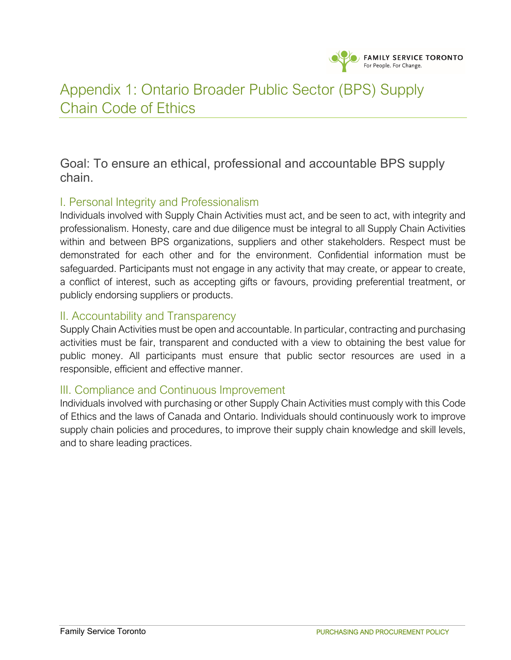

## Appendix 1: Ontario Broader Public Sector (BPS) Supply Chain Code of Ethics

Goal: To ensure an ethical, professional and accountable BPS supply chain.

## I. Personal Integrity and Professionalism

Individuals involved with Supply Chain Activities must act, and be seen to act, with integrity and professionalism. Honesty, care and due diligence must be integral to all Supply Chain Activities within and between BPS organizations, suppliers and other stakeholders. Respect must be demonstrated for each other and for the environment. Confidential information must be safeguarded. Participants must not engage in any activity that may create, or appear to create, a conflict of interest, such as accepting gifts or favours, providing preferential treatment, or publicly endorsing suppliers or products.

### II. Accountability and Transparency

Supply Chain Activities must be open and accountable. In particular, contracting and purchasing activities must be fair, transparent and conducted with a view to obtaining the best value for public money. All participants must ensure that public sector resources are used in a responsible, efficient and effective manner.

## III. Compliance and Continuous Improvement

Individuals involved with purchasing or other Supply Chain Activities must comply with this Code of Ethics and the laws of Canada and Ontario. Individuals should continuously work to improve supply chain policies and procedures, to improve their supply chain knowledge and skill levels, and to share leading practices.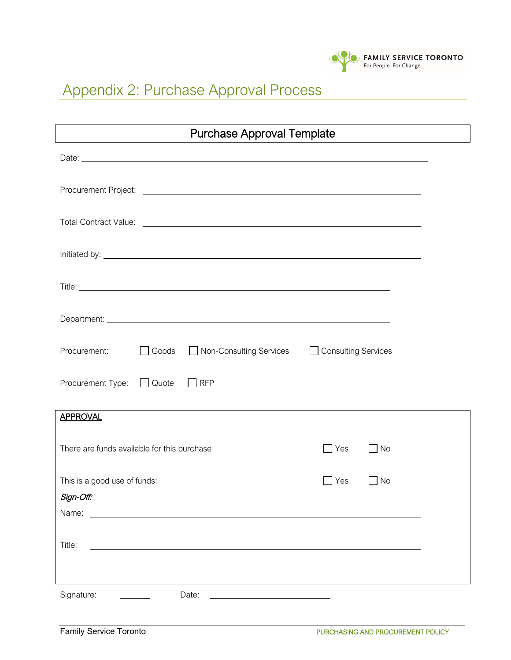

# Appendix 2: Purchase Approval Process

| <b>Purchase Approval Template</b>                                        |                         |  |  |  |
|--------------------------------------------------------------------------|-------------------------|--|--|--|
|                                                                          |                         |  |  |  |
|                                                                          |                         |  |  |  |
|                                                                          |                         |  |  |  |
|                                                                          |                         |  |  |  |
|                                                                          |                         |  |  |  |
|                                                                          |                         |  |  |  |
| Procurement:<br>□ Non-Consulting Services □ Consulting Services<br>Goods |                         |  |  |  |
| Procurement Type:<br>Quote<br><b>RFP</b><br>$\Box$                       |                         |  |  |  |
| <b>APPROVAL</b>                                                          |                         |  |  |  |
| There are funds available for this purchase                              | $\Box$ Yes<br>$\Box$ No |  |  |  |
| This is a good use of funds:                                             | Yes<br>No               |  |  |  |
| Sign-Off:                                                                |                         |  |  |  |
| Name:                                                                    |                         |  |  |  |
| Title:                                                                   |                         |  |  |  |
|                                                                          |                         |  |  |  |
| Signature:<br>Date:                                                      |                         |  |  |  |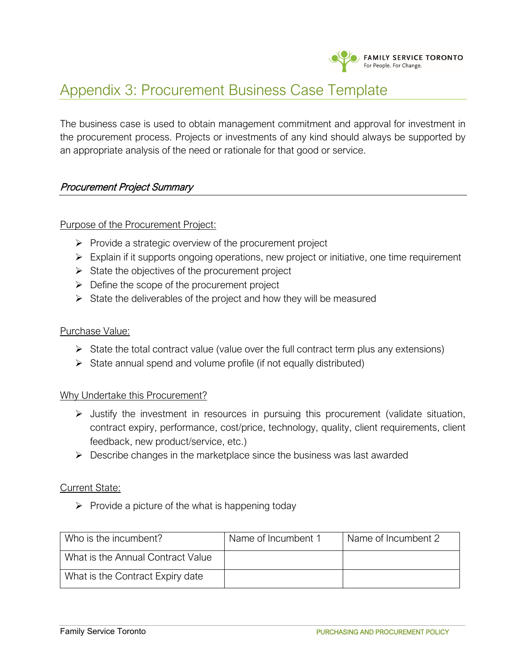

## Appendix 3: Procurement Business Case Template

The business case is used to obtain management commitment and approval for investment in the procurement process. Projects or investments of any kind should always be supported by an appropriate analysis of the need or rationale for that good or service.

### Procurement Project Summary

### Purpose of the Procurement Project:

- $\triangleright$  Provide a strategic overview of the procurement project
- $\triangleright$  Explain if it supports ongoing operations, new project or initiative, one time requirement
- $\triangleright$  State the objectives of the procurement project
- $\triangleright$  Define the scope of the procurement project
- $\triangleright$  State the deliverables of the project and how they will be measured

### Purchase Value:

- $\triangleright$  State the total contract value (value over the full contract term plus any extensions)
- $\triangleright$  State annual spend and volume profile (if not equally distributed)

### Why Undertake this Procurement?

- $\triangleright$  Justify the investment in resources in pursuing this procurement (validate situation, contract expiry, performance, cost/price, technology, quality, client requirements, client feedback, new product/service, etc.)
- $\triangleright$  Describe changes in the marketplace since the business was last awarded

### Current State:

 $\triangleright$  Provide a picture of the what is happening today

| Who is the incumbent?             | Name of Incumbent 1 | Name of Incumbent 2 |
|-----------------------------------|---------------------|---------------------|
| What is the Annual Contract Value |                     |                     |
| What is the Contract Expiry date  |                     |                     |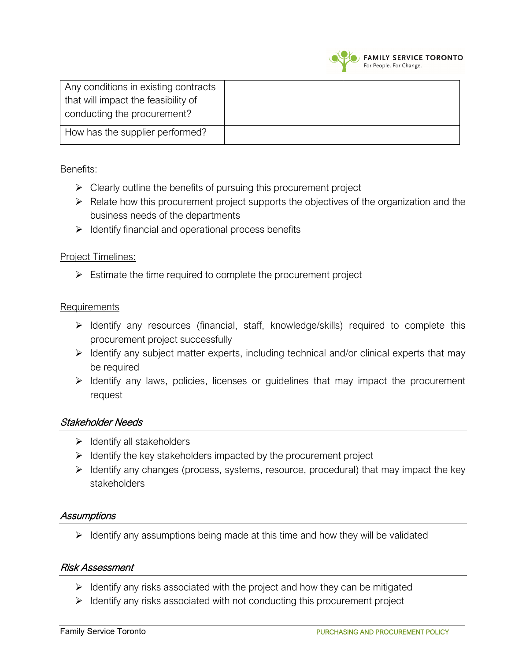

| Any conditions in existing contracts<br>that will impact the feasibility of<br>conducting the procurement? |  |
|------------------------------------------------------------------------------------------------------------|--|
| How has the supplier performed?                                                                            |  |

### Benefits:

- $\triangleright$  Clearly outline the benefits of pursuing this procurement project
- $\triangleright$  Relate how this procurement project supports the objectives of the organization and the business needs of the departments
- $\triangleright$  Identify financial and operational process benefits

### Project Timelines:

 $\triangleright$  Estimate the time required to complete the procurement project

### Requirements

- $\triangleright$  Identify any resources (financial, staff, knowledge/skills) required to complete this procurement project successfully
- $\triangleright$  Identify any subject matter experts, including technical and/or clinical experts that may be required
- $\triangleright$  Identify any laws, policies, licenses or guidelines that may impact the procurement request

### Stakeholder Needs

- $\triangleright$  Identify all stakeholders
- $\triangleright$  Identify the key stakeholders impacted by the procurement project
- $\triangleright$  Identify any changes (process, systems, resource, procedural) that may impact the key stakeholders

### **Assumptions**

 $\triangleright$  Identify any assumptions being made at this time and how they will be validated

### Risk Assessment

- $\triangleright$  Identify any risks associated with the project and how they can be mitigated
- $\triangleright$  Identify any risks associated with not conducting this procurement project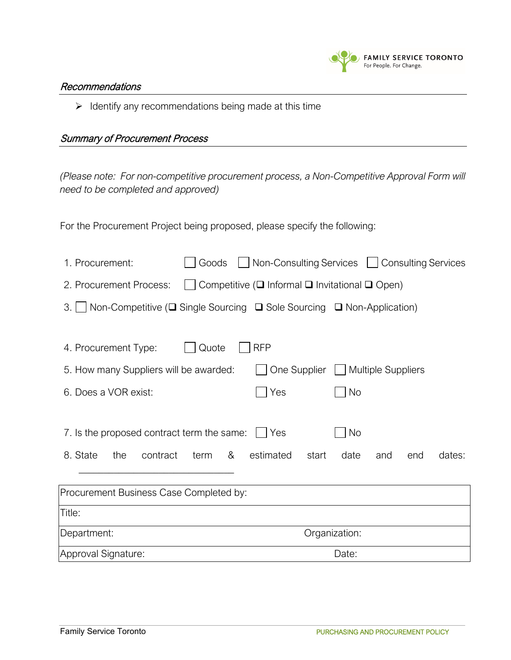

#### Recommendations

 $\triangleright$  Identify any recommendations being made at this time

### Summary of Procurement Process

*(Please note: For non-competitive procurement process, a Non-Competitive Approval Form will need to be completed and approved)*

For the Procurement Project being proposed, please specify the following:

| 1. Procurement:                                                                                        | Goods     | □ Non-Consulting Services □ Consulting Services |                                   |     |     |        |
|--------------------------------------------------------------------------------------------------------|-----------|-------------------------------------------------|-----------------------------------|-----|-----|--------|
| Competitive ( $\square$ Informal $\square$ Invitational $\square$ Open)<br>2. Procurement Process:     |           |                                                 |                                   |     |     |        |
| Non-Competitive ( $\square$ Single Sourcing $\square$ Sole Sourcing $\square$ Non-Application)<br>$3.$ |           |                                                 |                                   |     |     |        |
|                                                                                                        |           |                                                 |                                   |     |     |        |
| 4. Procurement Type:                                                                                   | Quote     | <b>RFP</b>                                      |                                   |     |     |        |
| 5. How many Suppliers will be awarded:                                                                 |           |                                                 | One Supplier   Multiple Suppliers |     |     |        |
| 6. Does a VOR exist:                                                                                   |           | Yes                                             | No                                |     |     |        |
|                                                                                                        |           |                                                 |                                   |     |     |        |
| 7. Is the proposed contract term the same: $\Box$                                                      |           | Yes                                             | <b>No</b>                         |     |     |        |
| 8. State<br>the<br>contract                                                                            | &<br>term | estimated                                       | start<br>date                     | and | end | dates: |
|                                                                                                        |           |                                                 |                                   |     |     |        |
| Procurement Business Case Completed by:                                                                |           |                                                 |                                   |     |     |        |
| Title:                                                                                                 |           |                                                 |                                   |     |     |        |
| Department:                                                                                            |           | Organization:                                   |                                   |     |     |        |
| Approval Signature:                                                                                    | Date:     |                                                 |                                   |     |     |        |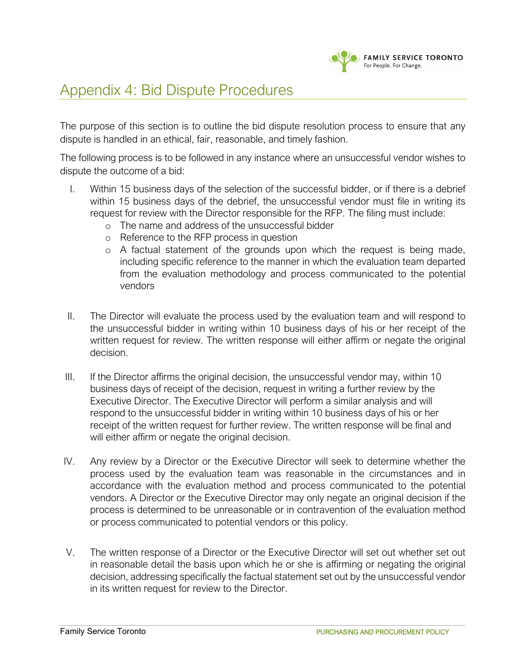

## Appendix 4: Bid Dispute Procedures

The purpose of this section is to outline the bid dispute resolution process to ensure that any dispute is handled in an ethical, fair, reasonable, and timely fashion.

The following process is to be followed in any instance where an unsuccessful vendor wishes to dispute the outcome of a bid:

- I. Within 15 business days of the selection of the successful bidder, or if there is a debrief within 15 business days of the debrief, the unsuccessful vendor must file in writing its request for review with the Director responsible for the RFP. The filing must include:
	- o The name and address of the unsuccessful bidder
	- o Reference to the RFP process in question
	- o A factual statement of the grounds upon which the request is being made, including specific reference to the manner in which the evaluation team departed from the evaluation methodology and process communicated to the potential vendors
- II. The Director will evaluate the process used by the evaluation team and will respond to the unsuccessful bidder in writing within 10 business days of his or her receipt of the written request for review. The written response will either affirm or negate the original decision.
- III. If the Director affirms the original decision, the unsuccessful vendor may, within 10 business days of receipt of the decision, request in writing a further review by the Executive Director. The Executive Director will perform a similar analysis and will respond to the unsuccessful bidder in writing within 10 business days of his or her receipt of the written request for further review. The written response will be final and will either affirm or negate the original decision.
- IV. Any review by a Director or the Executive Director will seek to determine whether the process used by the evaluation team was reasonable in the circumstances and in accordance with the evaluation method and process communicated to the potential vendors. A Director or the Executive Director may only negate an original decision if the process is determined to be unreasonable or in contravention of the evaluation method or process communicated to potential vendors or this policy.
- V. The written response of a Director or the Executive Director will set out whether set out in reasonable detail the basis upon which he or she is affirming or negating the original decision, addressing specifically the factual statement set out by the unsuccessful vendor in its written request for review to the Director.